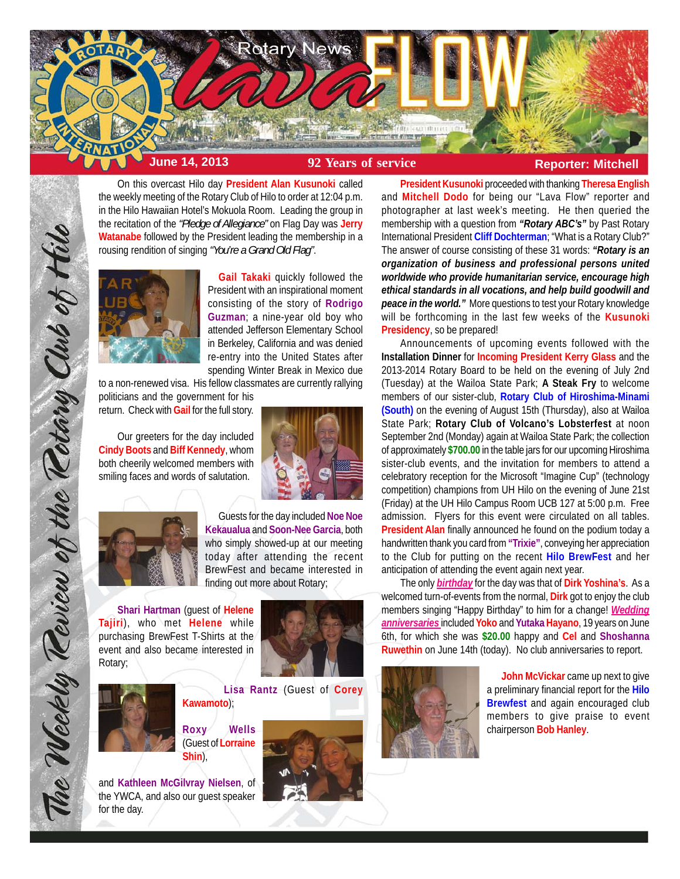

On this overcast Hilo day **President Alan Kusunoki** called the weekly meeting of the Rotary Club of Hilo to order at 12:04 p.m. in the Hilo Hawaiian Hotel's Mokuola Room. Leading the group in the recitation of the *"Pledge of Allegiance"* on Flag Day was **Jerry Watanabe** followed by the President leading the membership in a rousing rendition of singing *"You're a Grand Old Flag"*.



**Gail Takaki** quickly followed the President with an inspirational moment consisting of the story of **Rodrigo Guzman**; a nine-year old boy who attended Jefferson Elementary School in Berkeley, California and was denied re-entry into the United States after spending Winter Break in Mexico due

to a non-renewed visa. His fellow classmates are currently rallying politicians and the government for his

return. Check with **Gail** for the full story.

Our greeters for the day included **Cindy Boots** and **Biff Kennedy**, whom both cheerily welcomed members with smiling faces and words of salutation.





The Weekly Teview of the Tetary Club of Hilo

Guests for the day included **Noe Noe Kekaualua** and **Soon-Nee Garcia**, both who simply showed-up at our meeting today after attending the recent BrewFest and became interested in finding out more about Rotary;

**Shari Hartman** (guest of **Helene Tajiri**), who met **Helene** while purchasing BrewFest T-Shirts at the event and also became interested in Rotary;





**Lisa Rantz** (Guest of **Corey Kawamoto**);

**Roxy Wells** (Guest of **Lorraine Shin**),

and **Kathleen McGilvray Nielsen**, of the YWCA, and also our guest speaker for the day.



**President Kusunoki** proceeded with thanking **Theresa English** and **Mitchell Dodo** for being our "Lava Flow" reporter and photographer at last week's meeting. He then queried the membership with a question from *"Rotary ABC's"* by Past Rotary International President **Cliff Dochterman**; "What is a Rotary Club?" The answer of course consisting of these 31 words: *"Rotary is an organization of business and professional persons united worldwide who provide humanitarian service, encourage high ethical standards in all vocations, and help build goodwill and peace in the world."* More questions to test your Rotary knowledge will be forthcoming in the last few weeks of the **Kusunoki Presidency**, so be prepared!

Announcements of upcoming events followed with the **Installation Dinner** for **Incoming President Kerry Glass** and the 2013-2014 Rotary Board to be held on the evening of July 2nd (Tuesday) at the Wailoa State Park; **A Steak Fry** to welcome members of our sister-club, **Rotary Club of Hiroshima-Minami (South)** on the evening of August 15th (Thursday), also at Wailoa State Park; **Rotary Club of Volcano's Lobsterfest** at noon September 2nd (Monday) again at Wailoa State Park; the collection of approximately **\$700.00** in the table jars for our upcoming Hiroshima sister-club events, and the invitation for members to attend a celebratory reception for the Microsoft "Imagine Cup" (technology competition) champions from UH Hilo on the evening of June 21st (Friday) at the UH Hilo Campus Room UCB 127 at 5:00 p.m. Free admission. Flyers for this event were circulated on all tables. **President Alan** finally announced he found on the podium today a handwritten thank you card from **"Trixie"**, conveying her appreciation to the Club for putting on the recent **Hilo BrewFest** and her anticipation of attending the event again next year.

The only *birthday* for the day was that of **Dirk Yoshina's**. As a welcomed turn-of-events from the normal, **Dirk** got to enjoy the club members singing "Happy Birthday" to him for a change! *Wedding anniversaries* included **Yoko** and **Yutaka Hayano**, 19 years on June 6th, for which she was **\$20.00** happy and **Cel** and **Shoshanna Ruwethin** on June 14th (today). No club anniversaries to report.



**John McVickar** came up next to give a preliminary financial report for the **Hilo Brewfest** and again encouraged club members to give praise to event chairperson **Bob Hanley**.